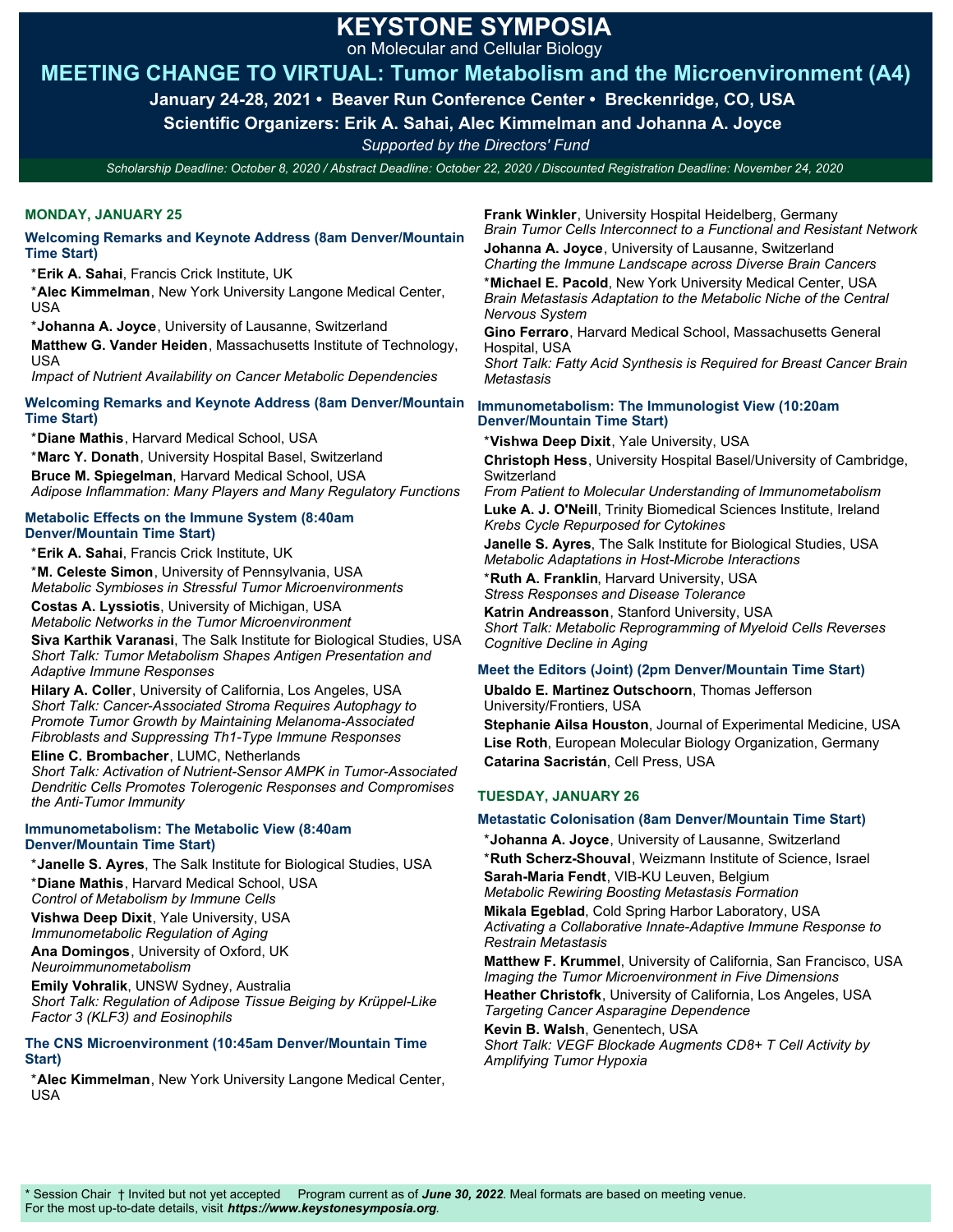on Molecular and Cellular Biology

## **MEETING CHANGE TO VIRTUAL: Tumor Metabolism and the Microenvironment (A4)**

**January 24-28, 2021 • Beaver Run Conference Center • Breckenridge, CO, USA** 

**Scientific Organizers: Erik A. Sahai, Alec Kimmelman and Johanna A. Joyce** 

*Supported by the Directors' Fund*

*Scholarship Deadline: October 8, 2020 / Abstract Deadline: October 22, 2020 / Discounted Registration Deadline: November 24, 2020*

### **MONDAY, JANUARY 25**

#### **Welcoming Remarks and Keynote Address (8am Denver/Mountain Time Start)**

\***Erik A. Sahai**, Francis Crick Institute, UK

\***Alec Kimmelman**, New York University Langone Medical Center, USA

\***Johanna A. Joyce**, University of Lausanne, Switzerland **Matthew G. Vander Heiden**, Massachusetts Institute of Technology, USA

*Impact of Nutrient Availability on Cancer Metabolic Dependencies*

### **Welcoming Remarks and Keynote Address (8am Denver/Mountain Time Start)**

\***Diane Mathis**, Harvard Medical School, USA \***Marc Y. Donath**, University Hospital Basel, Switzerland **Bruce M. Spiegelman**, Harvard Medical School, USA *Adipose Inflammation: Many Players and Many Regulatory Functions*

#### **Metabolic Effects on the Immune System (8:40am Denver/Mountain Time Start)**

\***Erik A. Sahai**, Francis Crick Institute, UK

\***M. Celeste Simon**, University of Pennsylvania, USA *Metabolic Symbioses in Stressful Tumor Microenvironments* **Costas A. Lyssiotis**, University of Michigan, USA *Metabolic Networks in the Tumor Microenvironment*

**Siva Karthik Varanasi**, The Salk Institute for Biological Studies, USA *Short Talk: Tumor Metabolism Shapes Antigen Presentation and Adaptive Immune Responses*

**Hilary A. Coller**, University of California, Los Angeles, USA *Short Talk: Cancer-Associated Stroma Requires Autophagy to Promote Tumor Growth by Maintaining Melanoma-Associated Fibroblasts and Suppressing Th1-Type Immune Responses*

**Eline C. Brombacher**, LUMC, Netherlands *Short Talk: Activation of Nutrient-Sensor AMPK in Tumor-Associated Dendritic Cells Promotes Tolerogenic Responses and Compromises the Anti-Tumor Immunity*

#### **Immunometabolism: The Metabolic View (8:40am Denver/Mountain Time Start)**

\***Janelle S. Ayres**, The Salk Institute for Biological Studies, USA \***Diane Mathis**, Harvard Medical School, USA *Control of Metabolism by Immune Cells*

**Vishwa Deep Dixit**, Yale University, USA *Immunometabolic Regulation of Aging* 

**Ana Domingos**, University of Oxford, UK *Neuroimmunometabolism*

**Emily Vohralik**, UNSW Sydney, Australia *Short Talk: Regulation of Adipose Tissue Beiging by Krüppel-Like Factor 3 (KLF3) and Eosinophils*

#### **The CNS Microenvironment (10:45am Denver/Mountain Time Start)**

\***Alec Kimmelman**, New York University Langone Medical Center, USA

**Frank Winkler**, University Hospital Heidelberg, Germany *Brain Tumor Cells Interconnect to a Functional and Resistant Network*

**Johanna A. Joyce**, University of Lausanne, Switzerland *Charting the Immune Landscape across Diverse Brain Cancers* \***Michael E. Pacold**, New York University Medical Center, USA

*Brain Metastasis Adaptation to the Metabolic Niche of the Central Nervous System* 

**Gino Ferraro**, Harvard Medical School, Massachusetts General Hospital, USA

*Short Talk: Fatty Acid Synthesis is Required for Breast Cancer Brain Metastasis*

#### **Immunometabolism: The Immunologist View (10:20am Denver/Mountain Time Start)**

\***Vishwa Deep Dixit**, Yale University, USA

**Christoph Hess**, University Hospital Basel/University of Cambridge, Switzerland

*From Patient to Molecular Understanding of Immunometabolism* **Luke A. J. O'Neill**, Trinity Biomedical Sciences Institute, Ireland *Krebs Cycle Repurposed for Cytokines*

**Janelle S. Ayres**, The Salk Institute for Biological Studies, USA *Metabolic Adaptations in Host-Microbe Interactions* 

\***Ruth A. Franklin**, Harvard University, USA *Stress Responses and Disease Tolerance*

**Katrin Andreasson**, Stanford University, USA *Short Talk: Metabolic Reprogramming of Myeloid Cells Reverses Cognitive Decline in Aging*

### **Meet the Editors (Joint) (2pm Denver/Mountain Time Start)**

**Ubaldo E. Martinez Outschoorn**, Thomas Jefferson University/Frontiers, USA

**Stephanie Ailsa Houston**, Journal of Experimental Medicine, USA **Lise Roth**, European Molecular Biology Organization, Germany **Catarina Sacristán**, Cell Press, USA

## **TUESDAY, JANUARY 26**

### **Metastatic Colonisation (8am Denver/Mountain Time Start)**

\***Johanna A. Joyce**, University of Lausanne, Switzerland \***Ruth Scherz-Shouval**, Weizmann Institute of Science, Israel **Sarah-Maria Fendt**, VIB-KU Leuven, Belgium *Metabolic Rewiring Boosting Metastasis Formation* **Mikala Egeblad**, Cold Spring Harbor Laboratory, USA *Activating a Collaborative Innate-Adaptive Immune Response to Restrain Metastasis*

**Matthew F. Krummel**, University of California, San Francisco, USA *Imaging the Tumor Microenvironment in Five Dimensions*

**Heather Christofk**, University of California, Los Angeles, USA *Targeting Cancer Asparagine Dependence*

**Kevin B. Walsh**, Genentech, USA *Short Talk: VEGF Blockade Augments CD8+ T Cell Activity by Amplifying Tumor Hypoxia*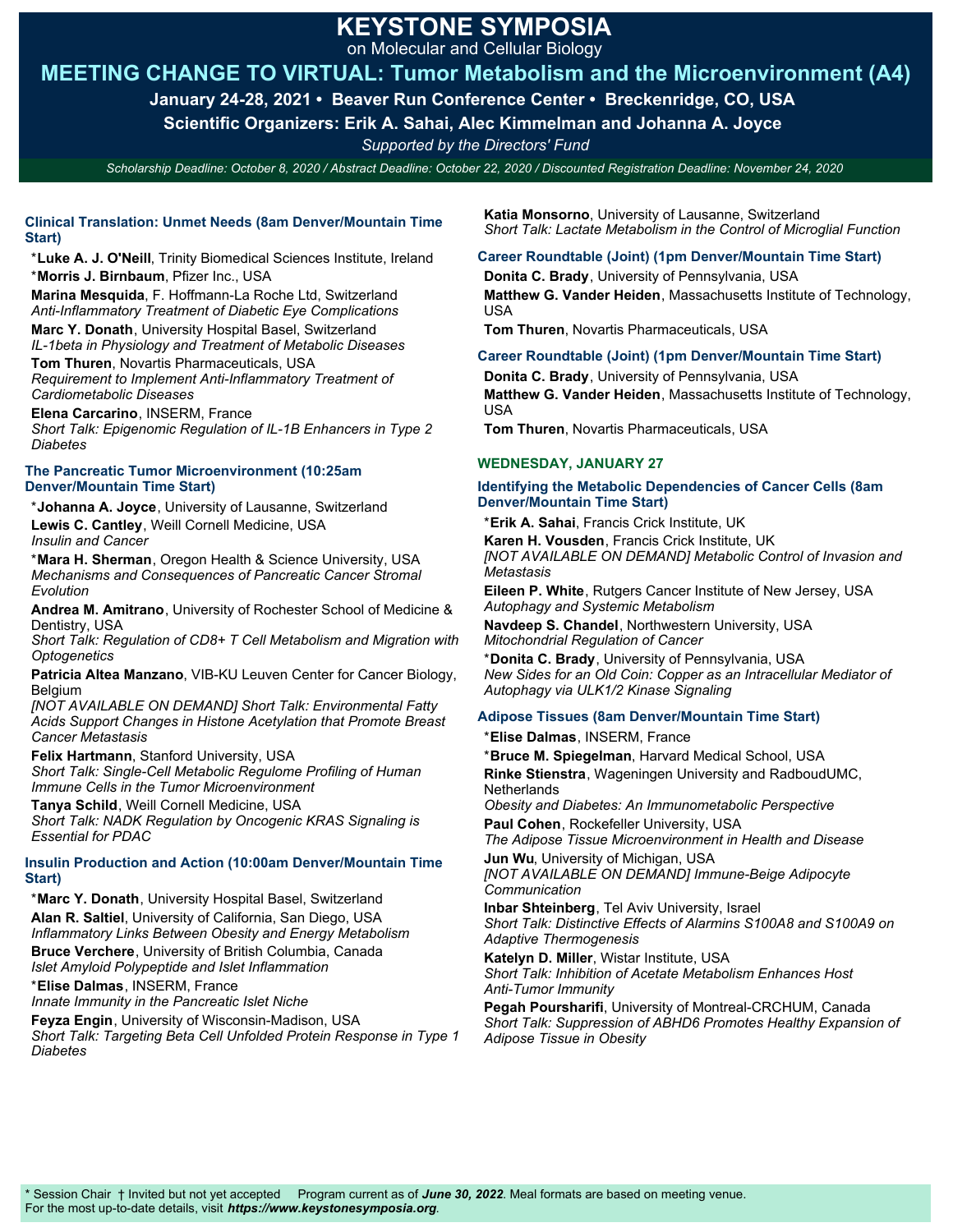on Molecular and Cellular Biology

## **MEETING CHANGE TO VIRTUAL: Tumor Metabolism and the Microenvironment (A4)**

**January 24-28, 2021 • Beaver Run Conference Center • Breckenridge, CO, USA** 

**Scientific Organizers: Erik A. Sahai, Alec Kimmelman and Johanna A. Joyce** 

*Supported by the Directors' Fund*

*Scholarship Deadline: October 8, 2020 / Abstract Deadline: October 22, 2020 / Discounted Registration Deadline: November 24, 2020*

### **Clinical Translation: Unmet Needs (8am Denver/Mountain Time Start)**

\***Luke A. J. O'Neill**, Trinity Biomedical Sciences Institute, Ireland \***Morris J. Birnbaum**, Pfizer Inc., USA

**Marina Mesquida**, F. Hoffmann-La Roche Ltd, Switzerland *Anti-Inflammatory Treatment of Diabetic Eye Complications*

**Marc Y. Donath**, University Hospital Basel, Switzerland *IL-1beta in Physiology and Treatment of Metabolic Diseases* **Tom Thuren**, Novartis Pharmaceuticals, USA

*Requirement to Implement Anti-Inflammatory Treatment of Cardiometabolic Diseases* 

**Elena Carcarino**, INSERM, France *Short Talk: Epigenomic Regulation of IL-1B Enhancers in Type 2 Diabetes*

#### **The Pancreatic Tumor Microenvironment (10:25am Denver/Mountain Time Start)**

\***Johanna A. Joyce**, University of Lausanne, Switzerland **Lewis C. Cantley**, Weill Cornell Medicine, USA *Insulin and Cancer*

\***Mara H. Sherman**, Oregon Health & Science University, USA *Mechanisms and Consequences of Pancreatic Cancer Stromal Evolution*

**Andrea M. Amitrano**, University of Rochester School of Medicine & Dentistry, USA

*Short Talk: Regulation of CD8+ T Cell Metabolism and Migration with Optogenetics*

**Patricia Altea Manzano**, VIB-KU Leuven Center for Cancer Biology, **Belgium** 

*[NOT AVAILABLE ON DEMAND] Short Talk: Environmental Fatty Acids Support Changes in Histone Acetylation that Promote Breast Cancer Metastasis*

**Felix Hartmann**, Stanford University, USA

*Short Talk: Single-Cell Metabolic Regulome Profiling of Human Immune Cells in the Tumor Microenvironment*

**Tanya Schild**, Weill Cornell Medicine, USA *Short Talk: NADK Regulation by Oncogenic KRAS Signaling is Essential for PDAC*

### **Insulin Production and Action (10:00am Denver/Mountain Time Start)**

\***Marc Y. Donath**, University Hospital Basel, Switzerland **Alan R. Saltiel**, University of California, San Diego, USA *Inflammatory Links Between Obesity and Energy Metabolism* **Bruce Verchere**, University of British Columbia, Canada *Islet Amyloid Polypeptide and Islet Inflammation*

\***Elise Dalmas**, INSERM, France

*Innate Immunity in the Pancreatic Islet Niche*

**Feyza Engin**, University of Wisconsin-Madison, USA *Short Talk: Targeting Beta Cell Unfolded Protein Response in Type 1 Diabetes*

**Katia Monsorno**, University of Lausanne, Switzerland *Short Talk: Lactate Metabolism in the Control of Microglial Function* 

## **Career Roundtable (Joint) (1pm Denver/Mountain Time Start)**

**Donita C. Brady**, University of Pennsylvania, USA **Matthew G. Vander Heiden**, Massachusetts Institute of Technology, USA

**Tom Thuren**, Novartis Pharmaceuticals, USA

## **Career Roundtable (Joint) (1pm Denver/Mountain Time Start)**

**Donita C. Brady**, University of Pennsylvania, USA **Matthew G. Vander Heiden**, Massachusetts Institute of Technology, USA

**Tom Thuren**, Novartis Pharmaceuticals, USA

### **WEDNESDAY, JANUARY 27**

#### **Identifying the Metabolic Dependencies of Cancer Cells (8am Denver/Mountain Time Start)**

\***Erik A. Sahai**, Francis Crick Institute, UK **Karen H. Vousden**, Francis Crick Institute, UK *[NOT AVAILABLE ON DEMAND] Metabolic Control of Invasion and*

*Metastasis* **Eileen P. White**, Rutgers Cancer Institute of New Jersey, USA

*Autophagy and Systemic Metabolism*

**Navdeep S. Chandel**, Northwestern University, USA *Mitochondrial Regulation of Cancer*

\***Donita C. Brady**, University of Pennsylvania, USA *New Sides for an Old Coin: Copper as an Intracellular Mediator of Autophagy via ULK1/2 Kinase Signaling* 

### **Adipose Tissues (8am Denver/Mountain Time Start)**

\***Elise Dalmas**, INSERM, France

\***Bruce M. Spiegelman**, Harvard Medical School, USA **Rinke Stienstra**, Wageningen University and RadboudUMC, **Netherlands** 

*Obesity and Diabetes: An Immunometabolic Perspective* **Paul Cohen**, Rockefeller University, USA

*The Adipose Tissue Microenvironment in Health and Disease* **Jun Wu**, University of Michigan, USA

*[NOT AVAILABLE ON DEMAND] Immune-Beige Adipocyte Communication*

**Inbar Shteinberg**, Tel Aviv University, Israel *Short Talk: Distinctive Effects of Alarmins S100A8 and S100A9 on Adaptive Thermogenesis*

**Katelyn D. Miller**, Wistar Institute, USA *Short Talk: Inhibition of Acetate Metabolism Enhances Host Anti-Tumor Immunity*

**Pegah Poursharifi**, University of Montreal-CRCHUM, Canada *Short Talk: Suppression of ABHD6 Promotes Healthy Expansion of Adipose Tissue in Obesity*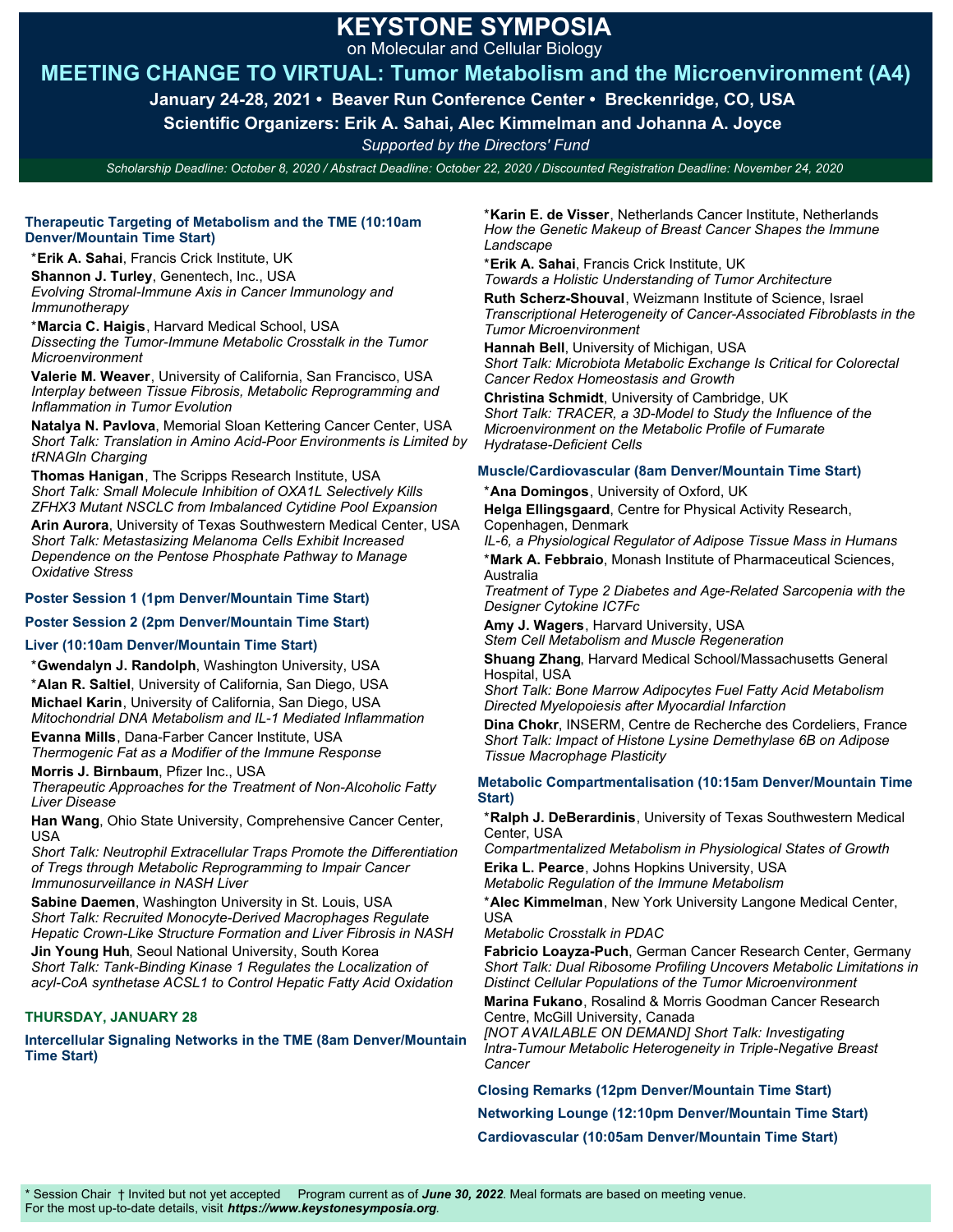on Molecular and Cellular Biology

## **MEETING CHANGE TO VIRTUAL: Tumor Metabolism and the Microenvironment (A4)**

**January 24-28, 2021 • Beaver Run Conference Center • Breckenridge, CO, USA** 

**Scientific Organizers: Erik A. Sahai, Alec Kimmelman and Johanna A. Joyce** 

*Supported by the Directors' Fund*

*Scholarship Deadline: October 8, 2020 / Abstract Deadline: October 22, 2020 / Discounted Registration Deadline: November 24, 2020*

#### **Therapeutic Targeting of Metabolism and the TME (10:10am Denver/Mountain Time Start)**

\***Erik A. Sahai**, Francis Crick Institute, UK

**Shannon J. Turley**, Genentech, Inc., USA *Evolving Stromal-Immune Axis in Cancer Immunology and*

*Immunotherapy* \***Marcia C. Haigis**, Harvard Medical School, USA *Dissecting the Tumor-Immune Metabolic Crosstalk in the Tumor Microenvironment*

**Valerie M. Weaver**, University of California, San Francisco, USA *Interplay between Tissue Fibrosis, Metabolic Reprogramming and Inflammation in Tumor Evolution*

**Natalya N. Pavlova**, Memorial Sloan Kettering Cancer Center, USA *Short Talk: Translation in Amino Acid-Poor Environments is Limited by tRNAGln Charging*

**Thomas Hanigan**, The Scripps Research Institute, USA *Short Talk: Small Molecule Inhibition of OXA1L Selectively Kills ZFHX3 Mutant NSCLC from Imbalanced Cytidine Pool Expansion*

**Arin Aurora**, University of Texas Southwestern Medical Center, USA *Short Talk: Metastasizing Melanoma Cells Exhibit Increased Dependence on the Pentose Phosphate Pathway to Manage Oxidative Stress*

### **Poster Session 1 (1pm Denver/Mountain Time Start)**

#### **Poster Session 2 (2pm Denver/Mountain Time Start)**

#### **Liver (10:10am Denver/Mountain Time Start)**

\***Gwendalyn J. Randolph**, Washington University, USA

\***Alan R. Saltiel**, University of California, San Diego, USA **Michael Karin**, University of California, San Diego, USA

*Mitochondrial DNA Metabolism and IL-1 Mediated Inflammation*

**Evanna Mills**, Dana-Farber Cancer Institute, USA *Thermogenic Fat as a Modifier of the Immune Response*

**Morris J. Birnbaum**, Pfizer Inc., USA *Therapeutic Approaches for the Treatment of Non-Alcoholic Fatty Liver Disease*

**Han Wang**, Ohio State University, Comprehensive Cancer Center, USA

*Short Talk: Neutrophil Extracellular Traps Promote the Differentiation of Tregs through Metabolic Reprogramming to Impair Cancer Immunosurveillance in NASH Liver*

**Sabine Daemen**, Washington University in St. Louis, USA *Short Talk: Recruited Monocyte-Derived Macrophages Regulate Hepatic Crown-Like Structure Formation and Liver Fibrosis in NASH* **Jin Young Huh**, Seoul National University, South Korea

*Short Talk: Tank-Binding Kinase 1 Regulates the Localization of acyl-CoA synthetase ACSL1 to Control Hepatic Fatty Acid Oxidation*

### **THURSDAY, JANUARY 28**

**Intercellular Signaling Networks in the TME (8am Denver/Mountain Time Start)** 

\***Karin E. de Visser**, Netherlands Cancer Institute, Netherlands *How the Genetic Makeup of Breast Cancer Shapes the Immune Landscape*

\***Erik A. Sahai**, Francis Crick Institute, UK

*Towards a Holistic Understanding of Tumor Architecture* **Ruth Scherz-Shouval**, Weizmann Institute of Science, Israel *Transcriptional Heterogeneity of Cancer-Associated Fibroblasts in the Tumor Microenvironment*

**Hannah Bell**, University of Michigan, USA *Short Talk: Microbiota Metabolic Exchange Is Critical for Colorectal Cancer Redox Homeostasis and Growth*

**Christina Schmidt**, University of Cambridge, UK *Short Talk: TRACER, a 3D-Model to Study the Influence of the Microenvironment on the Metabolic Profile of Fumarate Hydratase-Deficient Cells*

#### **Muscle/Cardiovascular (8am Denver/Mountain Time Start)**

\***Ana Domingos**, University of Oxford, UK

**Helga Ellingsgaard**, Centre for Physical Activity Research, Copenhagen, Denmark

*IL-6, a Physiological Regulator of Adipose Tissue Mass in Humans* \***Mark A. Febbraio**, Monash Institute of Pharmaceutical Sciences, Australia

*Treatment of Type 2 Diabetes and Age-Related Sarcopenia with the Designer Cytokine IC7Fc*

**Amy J. Wagers**, Harvard University, USA *Stem Cell Metabolism and Muscle Regeneration* 

**Shuang Zhang**, Harvard Medical School/Massachusetts General Hospital, USA

*Short Talk: Bone Marrow Adipocytes Fuel Fatty Acid Metabolism Directed Myelopoiesis after Myocardial Infarction*

**Dina Chokr**, INSERM, Centre de Recherche des Cordeliers, France *Short Talk: Impact of Histone Lysine Demethylase 6B on Adipose Tissue Macrophage Plasticity* 

#### **Metabolic Compartmentalisation (10:15am Denver/Mountain Time Start)**

\***Ralph J. DeBerardinis**, University of Texas Southwestern Medical Center, USA

*Compartmentalized Metabolism in Physiological States of Growth* **Erika L. Pearce**, Johns Hopkins University, USA

*Metabolic Regulation of the Immune Metabolism*

\***Alec Kimmelman**, New York University Langone Medical Center, USA

*Metabolic Crosstalk in PDAC*

**Fabricio Loayza-Puch**, German Cancer Research Center, Germany *Short Talk: Dual Ribosome Profiling Uncovers Metabolic Limitations in Distinct Cellular Populations of the Tumor Microenvironment*

**Marina Fukano**, Rosalind & Morris Goodman Cancer Research Centre, McGill University, Canada

*[NOT AVAILABLE ON DEMAND] Short Talk: Investigating Intra-Tumour Metabolic Heterogeneity in Triple-Negative Breast Cancer*

**Closing Remarks (12pm Denver/Mountain Time Start)** 

**Networking Lounge (12:10pm Denver/Mountain Time Start)** 

**Cardiovascular (10:05am Denver/Mountain Time Start)**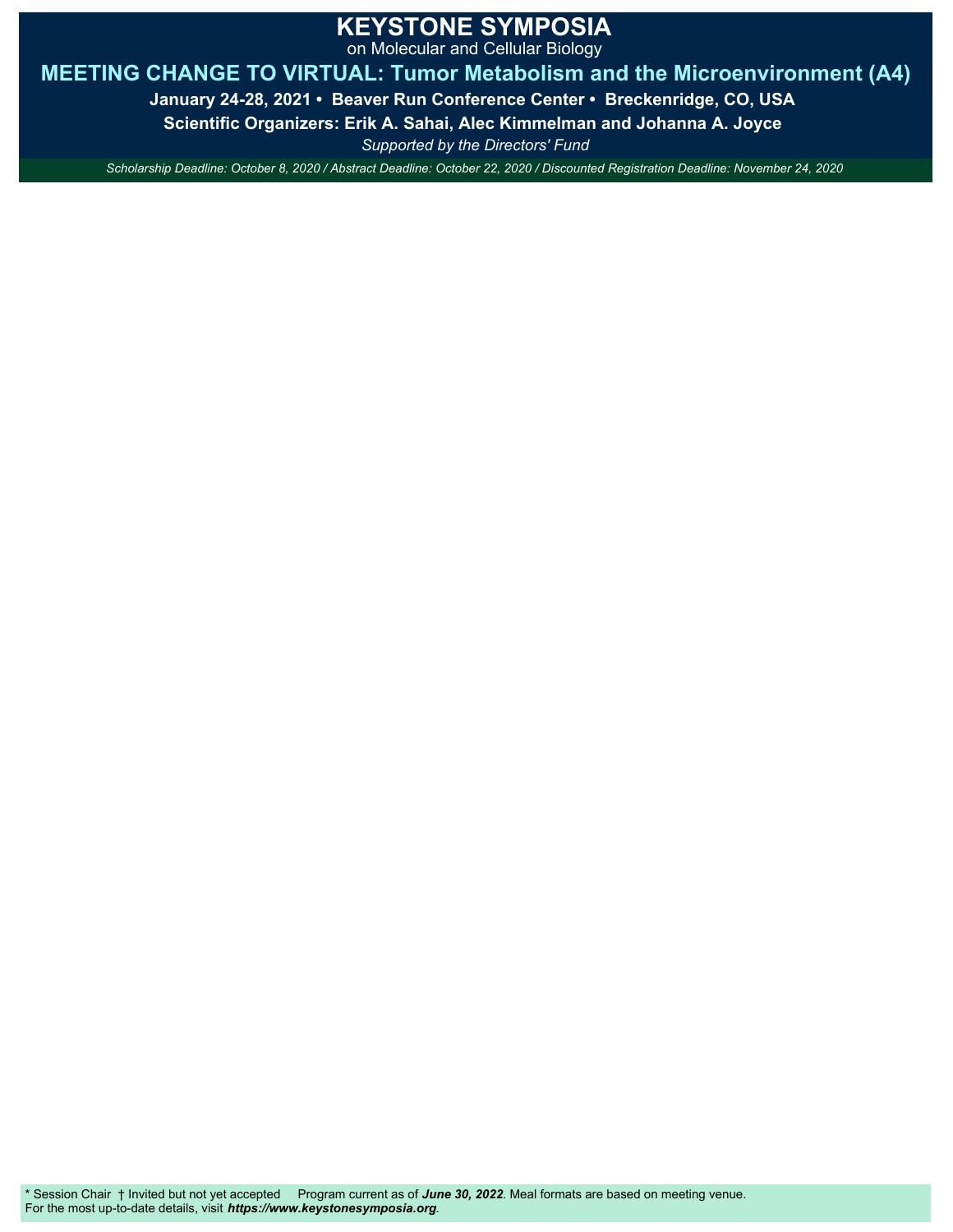on Molecular and Cellular Biology

## **MEETING CHANGE TO VIRTUAL: Tumor Metabolism and the Microenvironment (A4)**

**January 24-28, 2021 • Beaver Run Conference Center • Breckenridge, CO, USA** 

**Scientific Organizers: Erik A. Sahai, Alec Kimmelman and Johanna A. Joyce** 

*Supported by the Directors' Fund*

*Scholarship Deadline: October 8, 2020 / Abstract Deadline: October 22, 2020 / Discounted Registration Deadline: November 24, 2020*